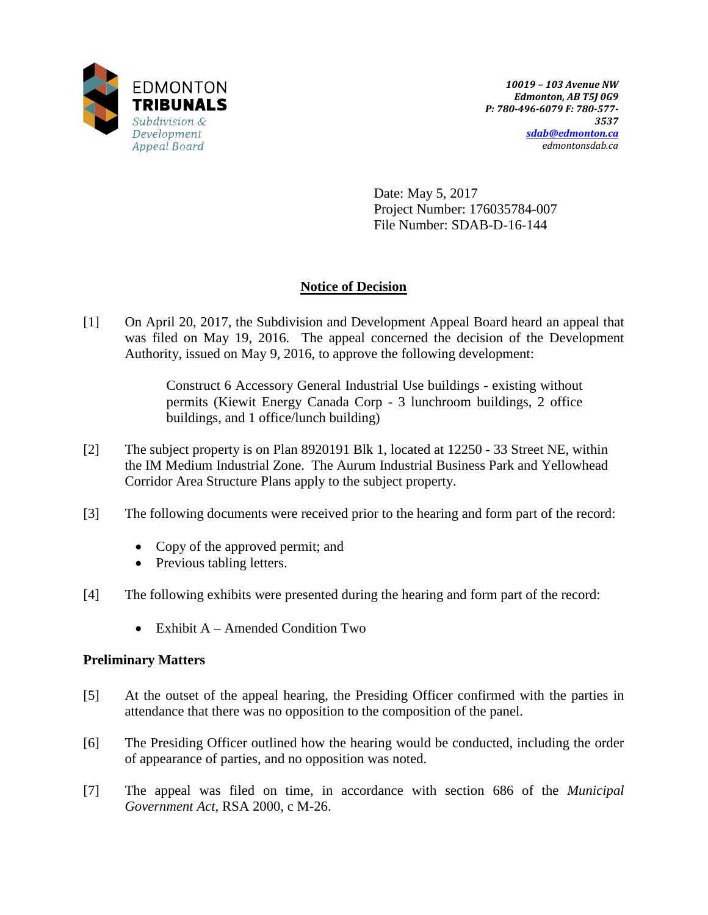

Date: May 5, 2017 Project Number: 176035784-007 File Number: SDAB-D-16-144

# **Notice of Decision**

[1] On April 20, 2017, the Subdivision and Development Appeal Board heard an appeal that was filed on May 19, 2016. The appeal concerned the decision of the Development Authority, issued on May 9, 2016, to approve the following development:

> Construct 6 Accessory General Industrial Use buildings - existing without permits (Kiewit Energy Canada Corp - 3 lunchroom buildings, 2 office buildings, and 1 office/lunch building)

- [2] The subject property is on Plan 8920191 Blk 1, located at 12250 33 Street NE, within the IM Medium Industrial Zone. The Aurum Industrial Business Park and Yellowhead Corridor Area Structure Plans apply to the subject property.
- [3] The following documents were received prior to the hearing and form part of the record:
	- Copy of the approved permit; and
	- Previous tabling letters.
- [4] The following exhibits were presented during the hearing and form part of the record:
	- Exhibit A Amended Condition Two

# **Preliminary Matters**

- [5] At the outset of the appeal hearing, the Presiding Officer confirmed with the parties in attendance that there was no opposition to the composition of the panel.
- [6] The Presiding Officer outlined how the hearing would be conducted, including the order of appearance of parties, and no opposition was noted.
- [7] The appeal was filed on time, in accordance with section 686 of the *Municipal Government Act*, RSA 2000, c M-26.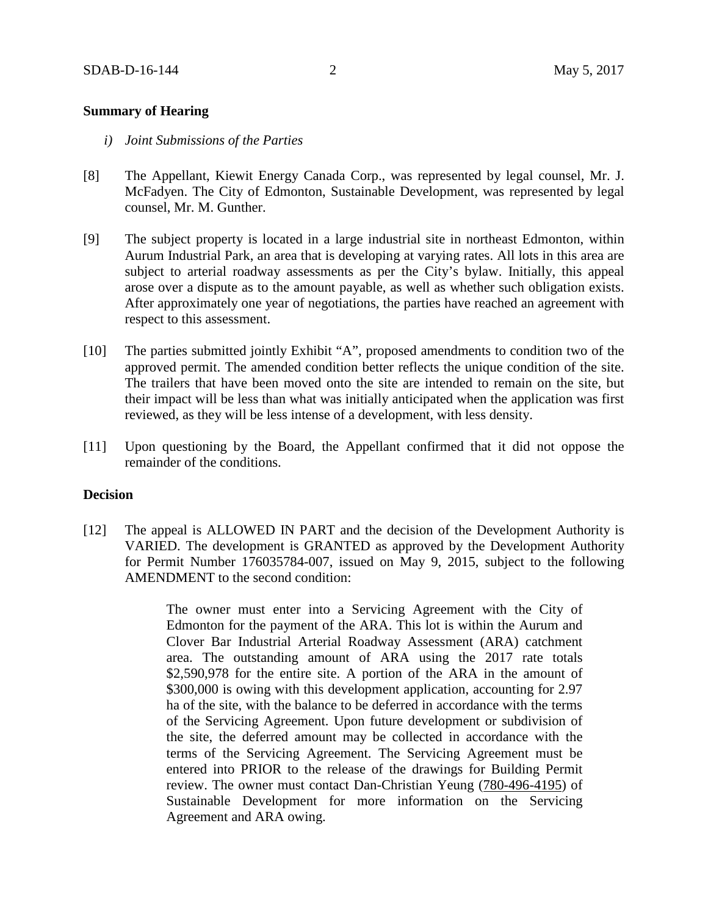## **Summary of Hearing**

- *i) Joint Submissions of the Parties*
- [8] The Appellant, Kiewit Energy Canada Corp., was represented by legal counsel, Mr. J. McFadyen. The City of Edmonton, Sustainable Development, was represented by legal counsel, Mr. M. Gunther.
- [9] The subject property is located in a large industrial site in northeast Edmonton, within Aurum Industrial Park, an area that is developing at varying rates. All lots in this area are subject to arterial roadway assessments as per the City's bylaw. Initially, this appeal arose over a dispute as to the amount payable, as well as whether such obligation exists. After approximately one year of negotiations, the parties have reached an agreement with respect to this assessment.
- [10] The parties submitted jointly Exhibit "A", proposed amendments to condition two of the approved permit. The amended condition better reflects the unique condition of the site. The trailers that have been moved onto the site are intended to remain on the site, but their impact will be less than what was initially anticipated when the application was first reviewed, as they will be less intense of a development, with less density.
- [11] Upon questioning by the Board, the Appellant confirmed that it did not oppose the remainder of the conditions.

#### **Decision**

[12] The appeal is ALLOWED IN PART and the decision of the Development Authority is VARIED. The development is GRANTED as approved by the Development Authority for Permit Number 176035784-007, issued on May 9, 2015, subject to the following AMENDMENT to the second condition:

> The owner must enter into a Servicing Agreement with the City of Edmonton for the payment of the ARA. This lot is within the Aurum and Clover Bar Industrial Arterial Roadway Assessment (ARA) catchment area. The outstanding amount of ARA using the 2017 rate totals \$2,590,978 for the entire site. A portion of the ARA in the amount of \$300,000 is owing with this development application, accounting for 2.97 ha of the site, with the balance to be deferred in accordance with the terms of the Servicing Agreement. Upon future development or subdivision of the site, the deferred amount may be collected in accordance with the terms of the Servicing Agreement. The Servicing Agreement must be entered into PRIOR to the release of the drawings for Building Permit review. The owner must contact Dan-Christian Yeung (780-496-4195) of Sustainable Development for more information on the Servicing Agreement and ARA owing.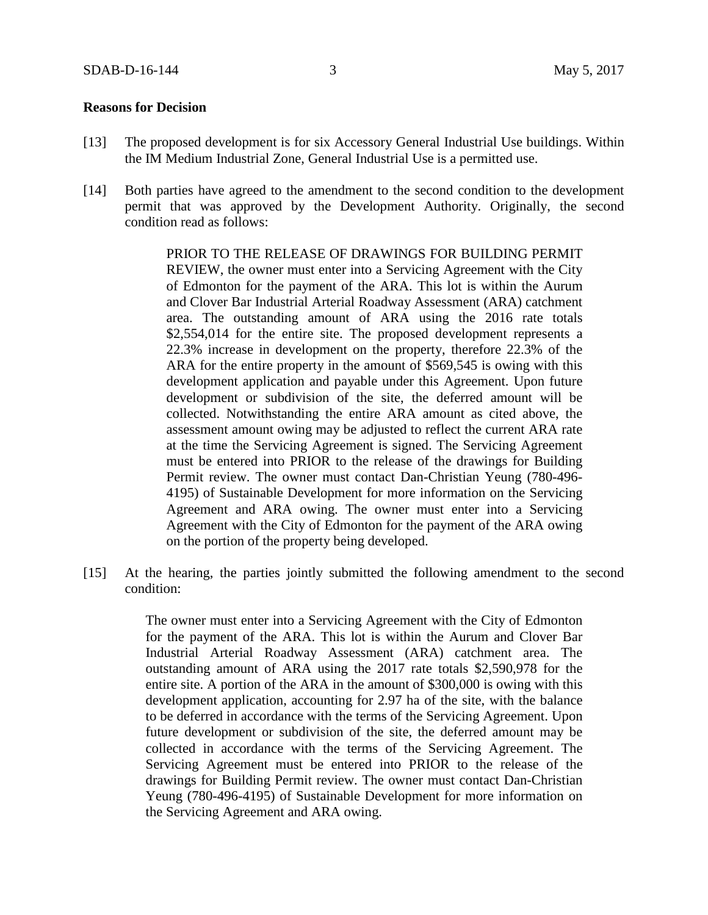## **Reasons for Decision**

- [13] The proposed development is for six Accessory General Industrial Use buildings. Within the IM Medium Industrial Zone, General Industrial Use is a permitted use.
- [14] Both parties have agreed to the amendment to the second condition to the development permit that was approved by the Development Authority. Originally, the second condition read as follows:

PRIOR TO THE RELEASE OF DRAWINGS FOR BUILDING PERMIT REVIEW, the owner must enter into a Servicing Agreement with the City of Edmonton for the payment of the ARA. This lot is within the Aurum and Clover Bar Industrial Arterial Roadway Assessment (ARA) catchment area. The outstanding amount of ARA using the 2016 rate totals \$2,554,014 for the entire site. The proposed development represents a 22.3% increase in development on the property, therefore 22.3% of the ARA for the entire property in the amount of \$569,545 is owing with this development application and payable under this Agreement. Upon future development or subdivision of the site, the deferred amount will be collected. Notwithstanding the entire ARA amount as cited above, the assessment amount owing may be adjusted to reflect the current ARA rate at the time the Servicing Agreement is signed. The Servicing Agreement must be entered into PRIOR to the release of the drawings for Building Permit review. The owner must contact Dan-Christian Yeung (780-496- 4195) of Sustainable Development for more information on the Servicing Agreement and ARA owing. The owner must enter into a Servicing Agreement with the City of Edmonton for the payment of the ARA owing on the portion of the property being developed.

[15] At the hearing, the parties jointly submitted the following amendment to the second condition:

> The owner must enter into a Servicing Agreement with the City of Edmonton for the payment of the ARA. This lot is within the Aurum and Clover Bar Industrial Arterial Roadway Assessment (ARA) catchment area. The outstanding amount of ARA using the 2017 rate totals \$2,590,978 for the entire site. A portion of the ARA in the amount of \$300,000 is owing with this development application, accounting for 2.97 ha of the site, with the balance to be deferred in accordance with the terms of the Servicing Agreement. Upon future development or subdivision of the site, the deferred amount may be collected in accordance with the terms of the Servicing Agreement. The Servicing Agreement must be entered into PRIOR to the release of the drawings for Building Permit review. The owner must contact Dan-Christian Yeung (780-496-4195) of Sustainable Development for more information on the Servicing Agreement and ARA owing.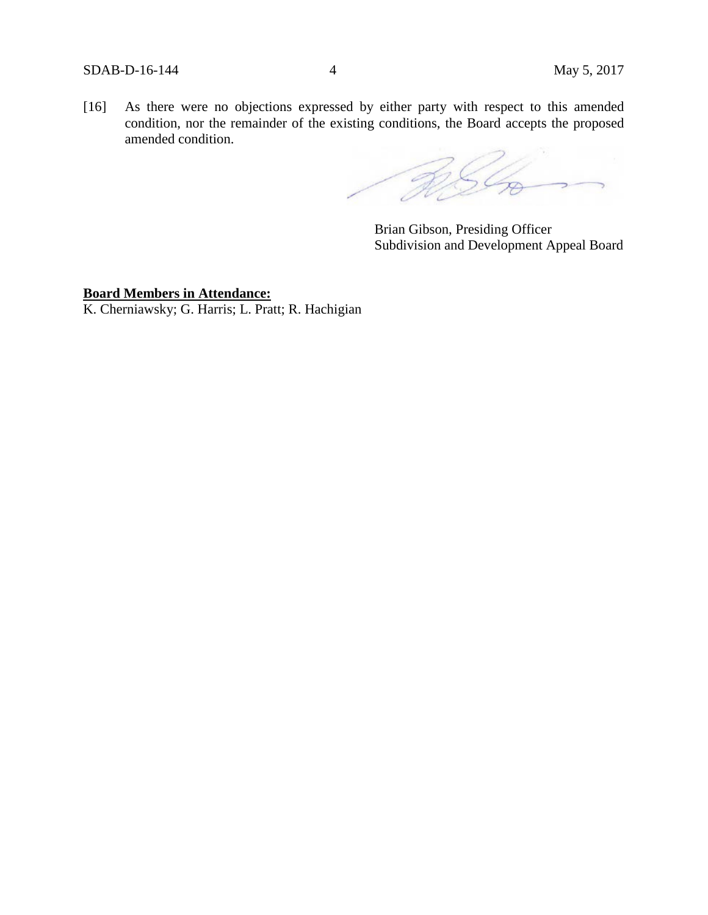[16] As there were no objections expressed by either party with respect to this amended condition, nor the remainder of the existing conditions, the Board accepts the proposed amended condition.

RSG.

Brian Gibson, Presiding Officer Subdivision and Development Appeal Board

# **Board Members in Attendance:**

K. Cherniawsky; G. Harris; L. Pratt; R. Hachigian